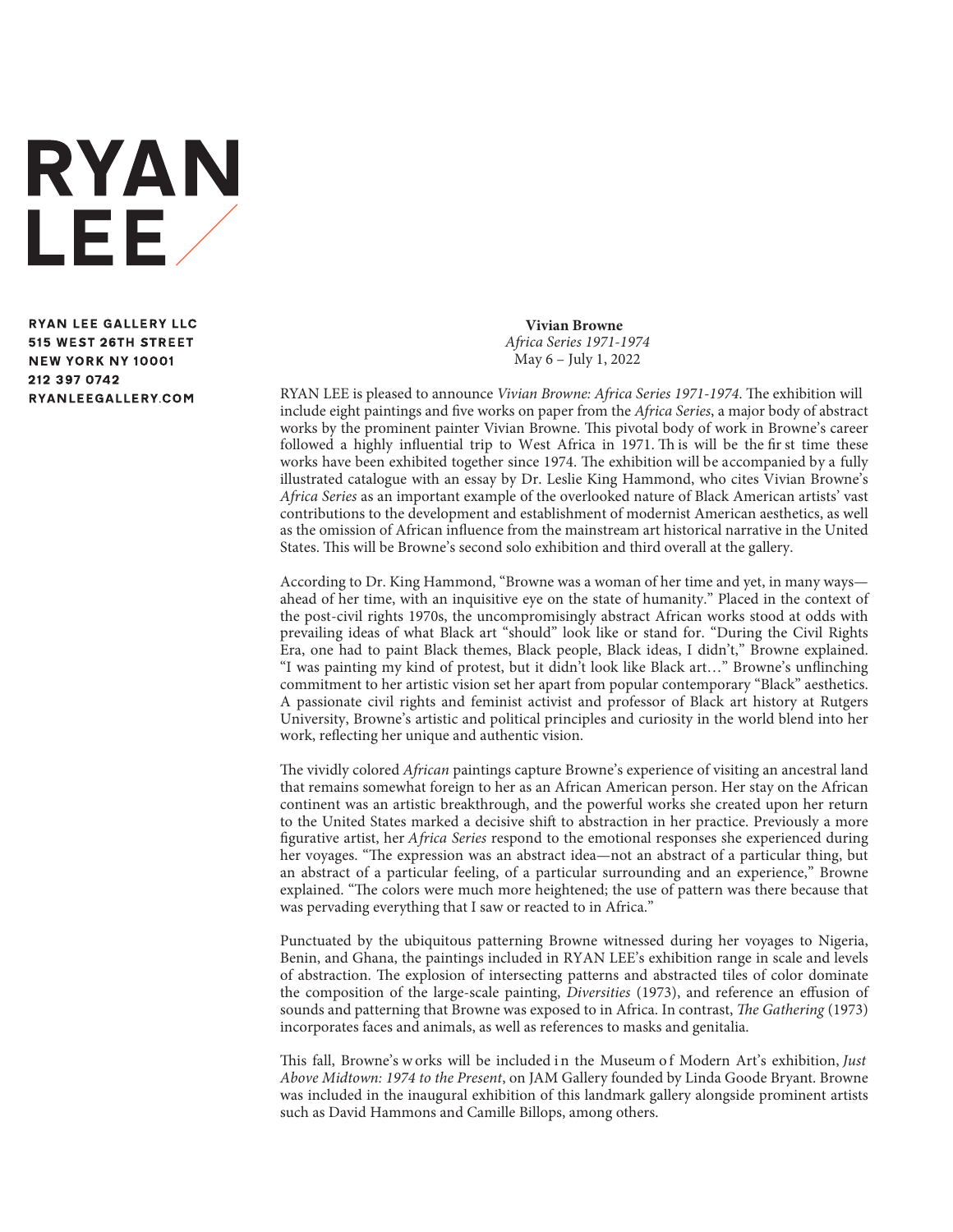

**RYAN LEE GALLERY LLC** 515 WEST 26TH STREET **NEW YORK NY 10001** 212 397 0742 RYANLEEGALLERY.COM

**Vivian Browne** *Africa Series 1971-1974* May 6 – July 1, 2022

RYAN LEE is pleased to announce *Vivian Browne: Africa Series 1971-1974*. The exhibition will include eight paintings and five works on paper from the *Africa Series*, a major body of abstract works by the prominent painter Vivian Browne. This pivotal body of work in Browne's career followed a highly influential trip to West Africa in 1971. Th is will be the fir st time these works have been exhibited together since 1974. The exhibition will be accompanied by a fully illustrated catalogue with an essay by Dr. Leslie King Hammond, who cites Vivian Browne's *Africa Series* as an important example of the overlooked nature of Black American artists' vast contributions to the development and establishment of modernist American aesthetics, as well as the omission of African influence from the mainstream art historical narrative in the United States. This will be Browne's second solo exhibition and third overall at the gallery.

According to Dr. King Hammond, "Browne was a woman of her time and yet, in many ways ahead of her time, with an inquisitive eye on the state of humanity." Placed in the context of the post-civil rights 1970s, the uncompromisingly abstract African works stood at odds with prevailing ideas of what Black art "should" look like or stand for. "During the Civil Rights Era, one had to paint Black themes, Black people, Black ideas, I didn't," Browne explained. "I was painting my kind of protest, but it didn't look like Black art…" Browne's unflinching commitment to her artistic vision set her apart from popular contemporary "Black" aesthetics. A passionate civil rights and feminist activist and professor of Black art history at Rutgers University, Browne's artistic and political principles and curiosity in the world blend into her work, reflecting her unique and authentic vision.

The vividly colored *African* paintings capture Browne's experience of visiting an ancestral land that remains somewhat foreign to her as an African American person. Her stay on the African continent was an artistic breakthrough, and the powerful works she created upon her return to the United States marked a decisive shift to abstraction in her practice. Previously a more figurative artist, her *Africa Series* respond to the emotional responses she experienced during her voyages. "The expression was an abstract idea—not an abstract of a particular thing, but an abstract of a particular feeling, of a particular surrounding and an experience," Browne explained. "The colors were much more heightened; the use of pattern was there because that was pervading everything that I saw or reacted to in Africa."

Punctuated by the ubiquitous patterning Browne witnessed during her voyages to Nigeria, Benin, and Ghana, the paintings included in RYAN LEE's exhibition range in scale and levels of abstraction. The explosion of intersecting patterns and abstracted tiles of color dominate the composition of the large-scale painting, *Diversities* (1973), and reference an effusion of sounds and patterning that Browne was exposed to in Africa. In contrast, *The Gathering* (1973) incorporates faces and animals, as well as references to masks and genitalia.

This fall, Browne's works will be included in the Museum of Modern Art's exhibition, Just *Above Midtown: 1974 to the Present*, on JAM Gallery founded by Linda Goode Bryant. Browne was included in the inaugural exhibition of this landmark gallery alongside prominent artists such as David Hammons and Camille Billops, among others.